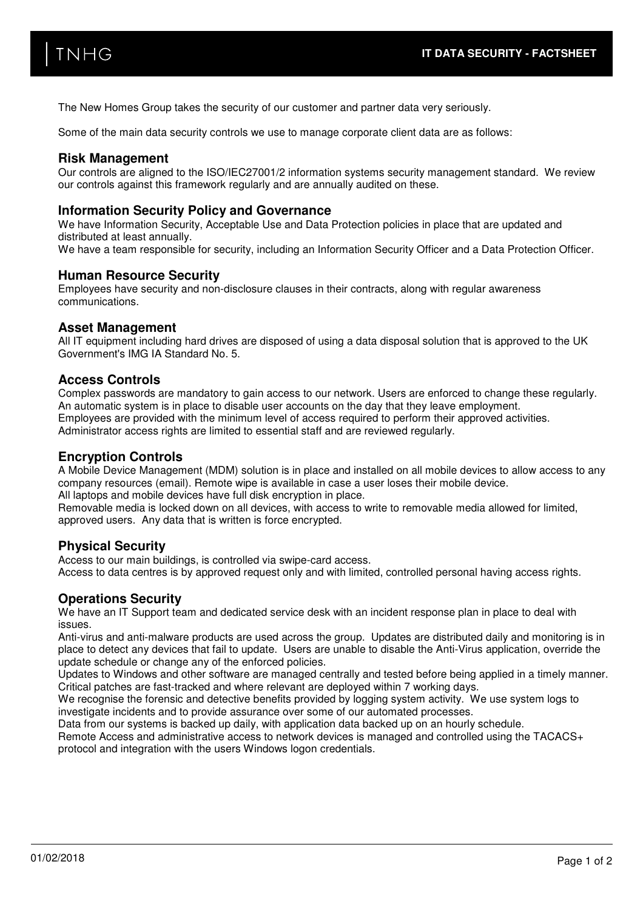The New Homes Group takes the security of our customer and partner data very seriously.

Some of the main data security controls we use to manage corporate client data are as follows:

## **Risk Management**

Our controls are aligned to the ISO/IEC27001/2 information systems security management standard. We review our controls against this framework regularly and are annually audited on these.

## **Information Security Policy and Governance**

We have Information Security, Acceptable Use and Data Protection policies in place that are updated and distributed at least annually. We have a team responsible for security, including an Information Security Officer and a Data Protection Officer.

#### **Human Resource Security**

Employees have security and non-disclosure clauses in their contracts, along with regular awareness communications.

### **Asset Management**

All IT equipment including hard drives are disposed of using a data disposal solution that is approved to the UK Government's IMG IA Standard No. 5.

### **Access Controls**

Complex passwords are mandatory to gain access to our network. Users are enforced to change these regularly. An automatic system is in place to disable user accounts on the day that they leave employment. Employees are provided with the minimum level of access required to perform their approved activities. Administrator access rights are limited to essential staff and are reviewed regularly.

### **Encryption Controls**

A Mobile Device Management (MDM) solution is in place and installed on all mobile devices to allow access to any company resources (email). Remote wipe is available in case a user loses their mobile device. All laptops and mobile devices have full disk encryption in place.

Removable media is locked down on all devices, with access to write to removable media allowed for limited, approved users. Any data that is written is force encrypted.

#### **Physical Security**

Access to our main buildings, is controlled via swipe-card access. Access to data centres is by approved request only and with limited, controlled personal having access rights.

## **Operations Security**

We have an IT Support team and dedicated service desk with an incident response plan in place to deal with issues.

Anti-virus and anti-malware products are used across the group. Updates are distributed daily and monitoring is in place to detect any devices that fail to update. Users are unable to disable the Anti-Virus application, override the update schedule or change any of the enforced policies.

Updates to Windows and other software are managed centrally and tested before being applied in a timely manner. Critical patches are fast-tracked and where relevant are deployed within 7 working days.

We recognise the forensic and detective benefits provided by logging system activity. We use system logs to investigate incidents and to provide assurance over some of our automated processes.

Data from our systems is backed up daily, with application data backed up on an hourly schedule.

Remote Access and administrative access to network devices is managed and controlled using the TACACS+ protocol and integration with the users Windows logon credentials.